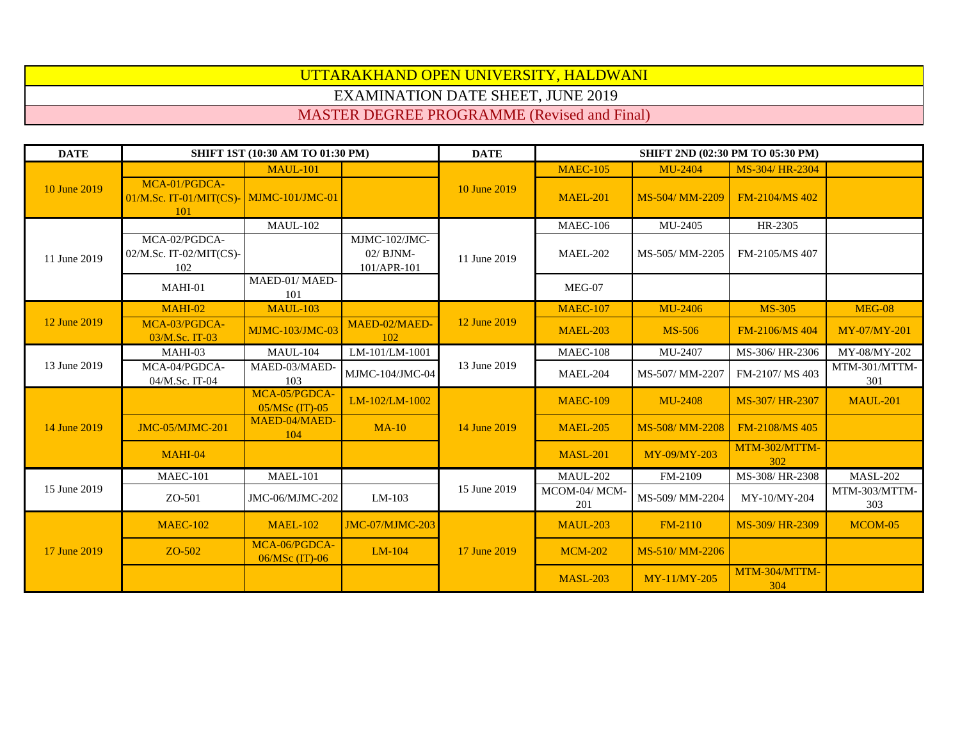## UTTARAKHAND OPEN UNIVERSITY, HALDWANI EXAMINATION DATE SHEET, JUNE 2019

MASTER DEGREE PROGRAMME (Revised and Final)

| <b>DATE</b>  | SHIFT 1ST (10:30 AM TO 01:30 PM)                   |                                   |                                             | <b>DATE</b>  | SHIFT 2ND (02:30 PM TO 05:30 PM) |                 |                      |                      |
|--------------|----------------------------------------------------|-----------------------------------|---------------------------------------------|--------------|----------------------------------|-----------------|----------------------|----------------------|
|              |                                                    | <b>MAUL-101</b>                   |                                             |              | <b>MAEC-105</b>                  | <b>MU-2404</b>  | MS-304/HR-2304       |                      |
| 10 June 2019 | MCA-01/PGDCA-<br>$01/M$ .Sc. IT-01/MIT(CS)-<br>101 | MJMC-101/JMC-01                   |                                             | 10 June 2019 | <b>MAEL-201</b>                  | MS-504/ MM-2209 | FM-2104/MS 402       |                      |
|              |                                                    | <b>MAUL-102</b>                   |                                             |              | <b>MAEC-106</b>                  | MU-2405         | HR-2305              |                      |
| 11 June 2019 | MCA-02/PGDCA-<br>02/M.Sc. IT-02/MIT(CS)-<br>102    |                                   | MJMC-102/JMC-<br>$02/$ BJNM-<br>101/APR-101 | 11 June 2019 | <b>MAEL-202</b>                  | MS-505/MM-2205  | FM-2105/MS 407       |                      |
|              | MAHI-01                                            | MAED-01/MAED-<br>101              |                                             |              | MEG-07                           |                 |                      |                      |
|              | <b>MAHI-02</b>                                     | <b>MAUL-103</b>                   |                                             |              | <b>MAEC-107</b>                  | <b>MU-2406</b>  | <b>MS-305</b>        | <b>MEG-08</b>        |
| 12 June 2019 | MCA-03/PGDCA-<br>03/M.Sc. IT-03                    | <b>MJMC-103/JMC-03</b>            | MAED-02/MAED-<br>102                        | 12 June 2019 | <b>MAEL-203</b>                  | <b>MS-506</b>   | FM-2106/MS 404       | MY-07/MY-201         |
|              | MAHI-03                                            | <b>MAUL-104</b>                   | LM-101/LM-1001                              | 13 June 2019 | <b>MAEC-108</b>                  | MU-2407         | MS-306/HR-2306       | MY-08/MY-202         |
| 13 June 2019 | MCA-04/PGDCA-<br>04/M.Sc. IT-04                    | MAED-03/MAED-<br>103              | MJMC-104/JMC-04                             |              | <b>MAEL-204</b>                  | MS-507/MM-2207  | FM-2107/MS 403       | MTM-301/MTTM-<br>301 |
| 14 June 2019 |                                                    | MCA-05/PGDCA-<br>$05/MSc$ (IT)-05 | LM-102/LM-1002                              | 14 June 2019 | <b>MAEC-109</b>                  | <b>MU-2408</b>  | MS-307/HR-2307       | <b>MAUL-201</b>      |
|              | <b>JMC-05/MJMC-201</b>                             | MAED-04/MAED-<br>104              | <b>MA-10</b>                                |              | <b>MAEL-205</b>                  | MS-508/MM-2208  | FM-2108/MS 405       |                      |
|              | <b>MAHI-04</b>                                     |                                   |                                             |              | <b>MASL-201</b>                  | MY-09/MY-203    | MTM-302/MTTM-<br>302 |                      |
|              | <b>MAEC-101</b>                                    | <b>MAEL-101</b>                   |                                             | 15 June 2019 | <b>MAUL-202</b>                  | FM-2109         | MS-308/HR-2308       | <b>MASL-202</b>      |
| 15 June 2019 | ZO-501                                             | JMC-06/MJMC-202                   | LM-103                                      |              | MCOM-04/MCM-<br>201              | MS-509/MM-2204  | MY-10/MY-204         | MTM-303/MTTM-<br>303 |
| 17 June 2019 | <b>MAEC-102</b>                                    | <b>MAEL-102</b>                   | JMC-07/MJMC-203                             | 17 June 2019 | <b>MAUL-203</b>                  | <b>FM-2110</b>  | MS-309/HR-2309       | MCOM-05              |
|              | ZO-502                                             | MCA-06/PGDCA-<br>$06/MSc$ (IT)-06 | LM-104                                      |              | <b>MCM-202</b>                   | MS-510/MM-2206  |                      |                      |
|              |                                                    |                                   |                                             |              | <b>MASL-203</b>                  | MY-11/MY-205    | MTM-304/MTTM-<br>304 |                      |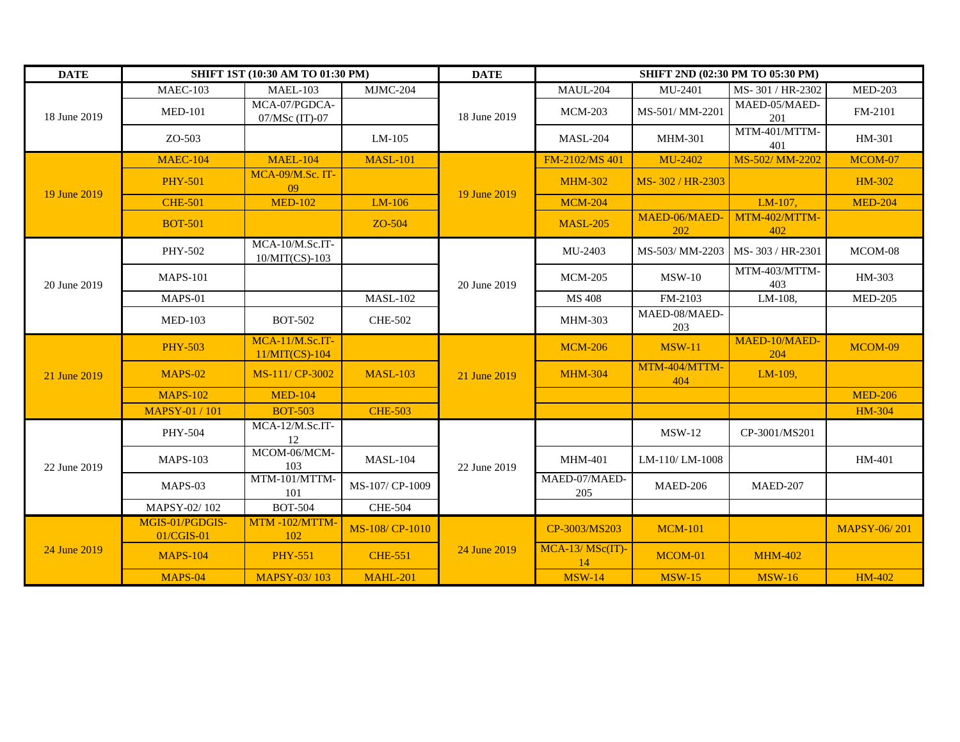| <b>DATE</b>  | SHIFT 1ST (10:30 AM TO 01:30 PM) |                                     |                 | <b>DATE</b>  | <b>SHIFT 2ND (02:30 PM TO 05:30 PM)</b> |                      |                      |                     |
|--------------|----------------------------------|-------------------------------------|-----------------|--------------|-----------------------------------------|----------------------|----------------------|---------------------|
| 18 June 2019 | <b>MAEC-103</b>                  | <b>MAEL-103</b>                     | MJMC-204        | 18 June 2019 | <b>MAUL-204</b>                         | MU-2401              | MS-301 / HR-2302     | <b>MED-203</b>      |
|              | <b>MED-101</b>                   | MCA-07/PGDCA-<br>07/MSc (IT)-07     |                 |              | <b>MCM-203</b>                          | MS-501/MM-2201       | MAED-05/MAED-<br>201 | FM-2101             |
|              | ZO-503                           |                                     | LM-105          |              | <b>MASL-204</b>                         | <b>MHM-301</b>       | MTM-401/MTTM-<br>401 | HM-301              |
|              | <b>MAEC-104</b>                  | <b>MAEL-104</b>                     | <b>MASL-101</b> | 19 June 2019 | FM-2102/MS 401                          | MU-2402              | MS-502/MM-2202       | MCOM-07             |
|              | <b>PHY-501</b>                   | MCA-09/M.Sc. IT-<br>09              |                 |              | <b>MHM-302</b>                          | MS-302/HR-2303       |                      | <b>HM-302</b>       |
| 19 June 2019 | <b>CHE-501</b>                   | <b>MED-102</b>                      | LM-106          |              | <b>MCM-204</b>                          |                      | LM-107,              | <b>MED-204</b>      |
|              | <b>BOT-501</b>                   |                                     | ZO-504          |              | <b>MASL-205</b>                         | MAED-06/MAED-<br>202 | MTM-402/MTTM-<br>402 |                     |
|              | PHY-502                          | MCA-10/M.Sc.IT-<br>10/MIT(CS)-103   |                 | 20 June 2019 | MU-2403                                 | MS-503/ MM-2203      | MS-303/HR-2301       | MCOM-08             |
| 20 June 2019 | <b>MAPS-101</b>                  |                                     |                 |              | <b>MCM-205</b>                          | $MSW-10$             | MTM-403/MTTM-<br>403 | HM-303              |
|              | MAPS-01                          |                                     | <b>MASL-102</b> |              | MS 408                                  | FM-2103              | LM-108,              | <b>MED-205</b>      |
|              | <b>MED-103</b>                   | <b>BOT-502</b>                      | <b>CHE-502</b>  |              | MHM-303                                 | MAED-08/MAED-<br>203 |                      |                     |
|              | <b>PHY-503</b>                   | MCA-11/M.Sc.IT-<br>$11/MIT(CS)-104$ |                 | 21 June 2019 | <b>MCM-206</b>                          | <b>MSW-11</b>        | MAED-10/MAED-<br>204 | MCOM-09             |
| 21 June 2019 | <b>MAPS-02</b>                   | MS-111/ CP-3002                     | <b>MASL-103</b> |              | <b>MHM-304</b>                          | MTM-404/MTTM-<br>404 | LM-109,              |                     |
|              | <b>MAPS-102</b>                  | <b>MED-104</b>                      |                 |              |                                         |                      |                      | <b>MED-206</b>      |
|              | <b>MAPSY-01 / 101</b>            | <b>BOT-503</b>                      | <b>CHE-503</b>  |              |                                         |                      |                      | <b>HM-304</b>       |
|              | PHY-504                          | MCA-12/M.Sc.IT-<br>12               |                 | 22 June 2019 |                                         | $MSW-12$             | CP-3001/MS201        |                     |
| 22 June 2019 | <b>MAPS-103</b>                  | MCOM-06/MCM-<br>103                 | <b>MASL-104</b> |              | <b>MHM-401</b>                          | LM-110/LM-1008       |                      | HM-401              |
|              | MAPS-03                          | MTM-101/MTTM-<br>101                | MS-107/CP-1009  |              | MAED-07/MAED-<br>205                    | MAED-206             | MAED-207             |                     |
|              | MAPSY-02/102                     | <b>BOT-504</b>                      | <b>CHE-504</b>  |              |                                         |                      |                      |                     |
| 24 June 2019 | MGIS-01/PGDGIS-<br>01/CGIS-01    | MTM-102/MTTM-<br>102                | MS-108/CP-1010  | 24 June 2019 | CP-3003/MS203                           | <b>MCM-101</b>       |                      | <b>MAPSY-06/201</b> |
|              | <b>MAPS-104</b>                  | <b>PHY-551</b>                      | <b>CHE-551</b>  |              | $MCA-13/MSc(T)$ -<br>14                 | MCOM-01              | <b>MHM-402</b>       |                     |
|              | <b>MAPS-04</b>                   | <b>MAPSY-03/103</b>                 | <b>MAHL-201</b> |              | <b>MSW-14</b>                           | <b>MSW-15</b>        | <b>MSW-16</b>        | <b>HM-402</b>       |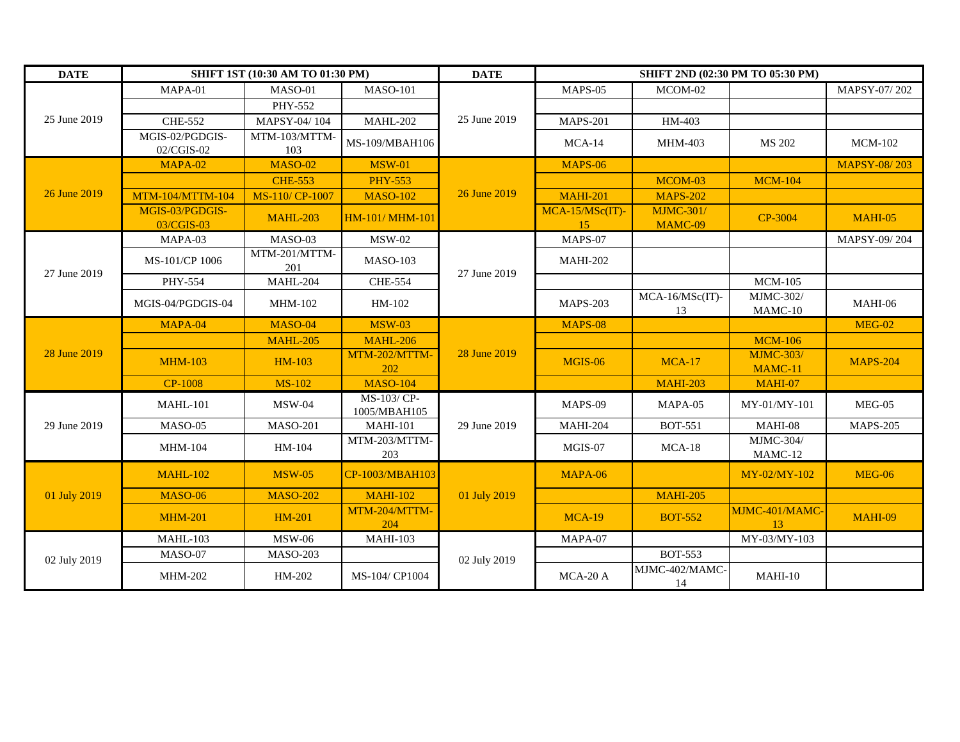| <b>DATE</b>  | SHIFT 1ST (10:30 AM TO 01:30 PM) |                      |                             | <b>DATE</b>  | SHIFT 2ND (02:30 PM TO 05:30 PM) |                             |                             |                     |
|--------------|----------------------------------|----------------------|-----------------------------|--------------|----------------------------------|-----------------------------|-----------------------------|---------------------|
| 25 June 2019 | MAPA-01                          | MASO-01              | <b>MASO-101</b>             | 25 June 2019 | MAPS-05                          | MCOM-02                     |                             | MAPSY-07/202        |
|              |                                  | PHY-552              |                             |              |                                  |                             |                             |                     |
|              | <b>CHE-552</b>                   | MAPSY-04/104         | <b>MAHL-202</b>             |              | <b>MAPS-201</b>                  | HM-403                      |                             |                     |
|              | MGIS-02/PGDGIS-<br>02/CGIS-02    | MTM-103/MTTM-<br>103 | MS-109/MBAH106              |              | $MCA-14$                         | <b>MHM-403</b>              | MS 202                      | <b>MCM-102</b>      |
|              | <b>MAPA-02</b>                   | <b>MASO-02</b>       | <b>MSW-01</b>               |              | <b>MAPS-06</b>                   |                             |                             | <b>MAPSY-08/203</b> |
|              |                                  | <b>CHE-553</b>       | <b>PHY-553</b>              | 26 June 2019 |                                  | MCOM-03                     | <b>MCM-104</b>              |                     |
| 26 June 2019 | MTM-104/MTTM-104                 | MS-110/CP-1007       | <b>MASO-102</b>             |              | <b>MAHI-201</b>                  | <b>MAPS-202</b>             |                             |                     |
|              | MGIS-03/PGDGIS-<br>03/CGIS-03    | <b>MAHL-203</b>      | HM-101/ MHM-101             |              | MCA-15/MSc(IT)-<br>15            | <b>MJMC-301/</b><br>MAMC-09 | CP-3004                     | <b>MAHI-05</b>      |
|              | MAPA-03                          | MASO-03              | <b>MSW-02</b>               |              | MAPS-07                          |                             |                             | MAPSY-09/204        |
| 27 June 2019 | MS-101/CP 1006                   | MTM-201/MTTM-<br>201 | <b>MASO-103</b>             |              | <b>MAHI-202</b>                  |                             |                             |                     |
|              | <b>PHY-554</b>                   | <b>MAHL-204</b>      | <b>CHE-554</b>              | 27 June 2019 |                                  |                             | <b>MCM-105</b>              |                     |
|              | MGIS-04/PGDGIS-04                | <b>MHM-102</b>       | HM-102                      |              | <b>MAPS-203</b>                  | MCA-16/MSc(IT)-<br>13       | <b>MJMC-302/</b><br>MAMC-10 | MAHI-06             |
| 28 June 2019 | MAPA-04                          | <b>MASO-04</b>       | <b>MSW-03</b>               |              | <b>MAPS-08</b>                   |                             |                             | <b>MEG-02</b>       |
|              |                                  | <b>MAHL-205</b>      | <b>MAHL-206</b>             |              |                                  |                             | <b>MCM-106</b>              |                     |
|              | <b>MHM-103</b>                   | <b>HM-103</b>        | MTM-202/MTTM-<br>202        | 28 June 2019 | <b>MGIS-06</b>                   | <b>MCA-17</b>               | <b>MJMC-303/</b><br>MAMC-11 | <b>MAPS-204</b>     |
|              | <b>CP-1008</b>                   | <b>MS-102</b>        | <b>MASO-104</b>             |              |                                  | <b>MAHI-203</b>             | <b>MAHI-07</b>              |                     |
|              | <b>MAHL-101</b>                  | <b>MSW-04</b>        | MS-103/ CP-<br>1005/MBAH105 | 29 June 2019 | MAPS-09                          | MAPA-05                     | MY-01/MY-101                | $MEG-05$            |
| 29 June 2019 | <b>MASO-05</b>                   | <b>MASO-201</b>      | <b>MAHI-101</b>             |              | <b>MAHI-204</b>                  | <b>BOT-551</b>              | <b>MAHI-08</b>              | <b>MAPS-205</b>     |
|              | <b>MHM-104</b>                   | HM-104               | MTM-203/MTTM-<br>203        |              | MGIS-07                          | $MCA-18$                    | <b>MJMC-304/</b><br>MAMC-12 |                     |
| 01 July 2019 | <b>MAHL-102</b>                  | <b>MSW-05</b>        | CP-1003/MBAH103             | 01 July 2019 | MAPA-06                          |                             | MY-02/MY-102                | <b>MEG-06</b>       |
|              | <b>MASO-06</b>                   | <b>MASO-202</b>      | <b>MAHI-102</b>             |              |                                  | <b>MAHI-205</b>             |                             |                     |
|              | <b>MHM-201</b>                   | <b>HM-201</b>        | MTM-204/MTTM-<br>204        |              | <b>MCA-19</b>                    | <b>BOT-552</b>              | MJMC-401/MAMC-<br>13        | <b>MAHI-09</b>      |
|              | <b>MAHL-103</b>                  | <b>MSW-06</b>        | <b>MAHI-103</b>             |              | MAPA-07                          |                             | MY-03/MY-103                |                     |
| 02 July 2019 | MASO-07                          | <b>MASO-203</b>      |                             | 02 July 2019 |                                  | <b>BOT-553</b>              |                             |                     |
|              | <b>MHM-202</b>                   | HM-202               | MS-104/ CP1004              |              | MCA-20 A                         | MJMC-402/MAMC-<br>14        | $MAHI-10$                   |                     |